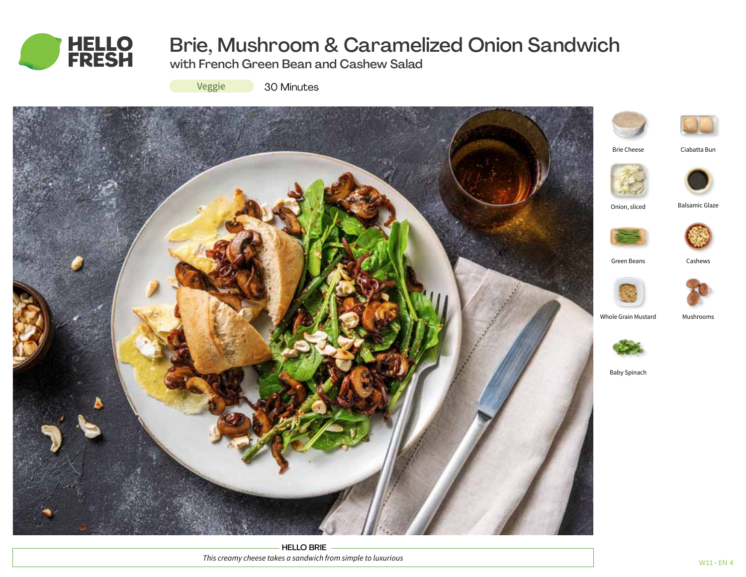

# Brie, Mushroom & Caramelized Onion Sandwich

with French Green Bean and Cashew Salad

Veggie

30 Minutes



HELLO BRIE *This creamy cheese takes a sandwich from simple to luxurious*